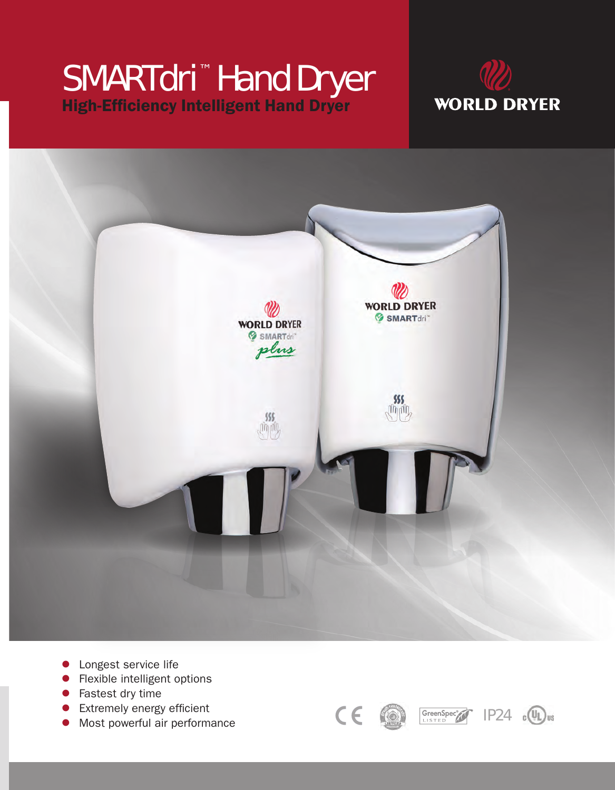# SMARTdri™ Hand Dryer High-Efficiency Intelligent Hand Dryer





- **· Longest service life**
- Flexible intelligent options
- $\bullet$  Fastest dry time
- $\bullet$  Extremely energy efficient
- **•** Most powerful air performance





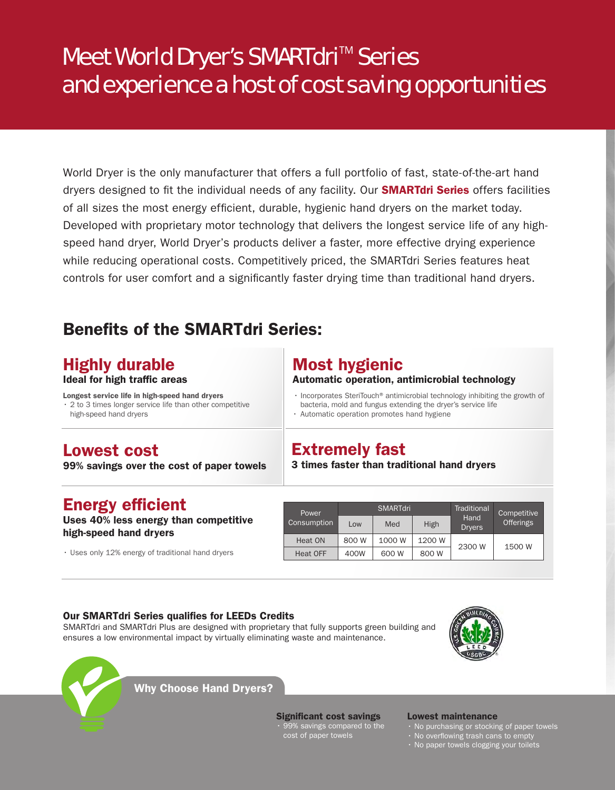## Meet World Dryer's SMARTdri<sup>™</sup> Series and experience a host of cost saving opportunities

World Dryer is the only manufacturer that offers a full portfolio of fast, state-of-the-art hand dryers designed to fit the individual needs of any facility. Our **SMARTdri Series** offers facilities of all sizes the most energy efficient, durable, hygienic hand dryers on the market today. Developed with proprietary motor technology that delivers the longest service life of any highspeed hand dryer, World Dryer's products deliver a faster, more effective drying experience while reducing operational costs. Competitively priced, the SMARTdri Series features heat controls for user comfort and a significantly faster drying time than traditional hand dryers.

## Benefits of the SMARTdri Series:

### Highly durable

#### Ideal for high traffic areas

Longest service life in high-speed hand dryers • 2 to 3 times longer service life than other competitive high-speed hand dryers

### Most hygienic

Extremely fast

#### Automatic operation, antimicrobial technology

3 times faster than traditional hand dryers

• Incorporates SteriTouch<sup>®</sup> antimicrobial technology inhibiting the growth of bacteria, mold and fungus extending the dryer's service life

• Automatic operation promotes hand hygiene

### Lowest cost

99% savings over the cost of paper towels

### Energy efficient

Uses 40% less energy than competitive high-speed hand dryers

• Uses only 12% energy of traditional hand dryers

|  | Power       | <b>SMARTdri</b> |        |        | Traditional           | Competitive      |
|--|-------------|-----------------|--------|--------|-----------------------|------------------|
|  | Consumption | Low             | Med    | High   | Hand<br><b>Dryers</b> | <b>Offerings</b> |
|  | Heat ON     | 800 W           | 1000 W | 1200 W | 2300 W                | 1500 W           |
|  | Heat OFF    | 400W            | 600 W  | 800 W  |                       |                  |

### Our SMARTdri Series qualifies for LEEDs Credits

SMARTdri and SMARTdri Plus are designed with proprietary that fully supports green building and ensures a low environmental impact by virtually eliminating waste and maintenance.





Why Choose Hand Dryers?

Significant cost savings • 99% savings compared to the cost of paper towels

#### Lowest maintenance

- No purchasing or stocking of paper towels
- No overflowing trash cans to empty
- No paper towels clogging your toilets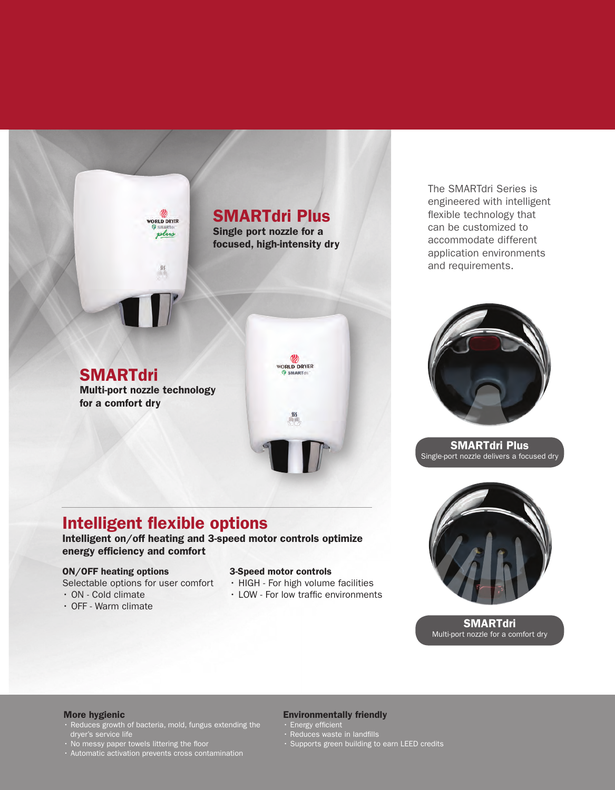### SMARTdri Plus

Single port nozzle for a focused, high-intensity dry

> **VORLD DRYER** SMART

3-Speed motor controls

• HIGH - For high volume facilities • LOW - For low traffic environments

**SMARTdri** Multi-port nozzle technology for a comfort dry

**NORLD DRYER** plus

Intelligent on/off heating and 3-speed motor controls optimize

The SMARTdri Series is engineered with intelligent flexible technology that can be customized to accommodate different application environments and requirements.



SMARTdri Plus Single-port nozzle delivers a focused dry



**SMARTdri** Multi-port nozzle for a comfort dry

#### More hygienic

ON/OFF heating options

• ON - Cold climate • OFF - Warm climate

Selectable options for user comfort

energy efficiency and comfort

Intelligent flexible options

- Reduces growth of bacteria, mold, fungus extending the dryer's service life
- No messy paper towels littering the floor
- Automatic activation prevents cross contamination

#### Environmentally friendly

- Energy efficient
- Reduces waste in landfills
- Supports green building to earn LEED credits